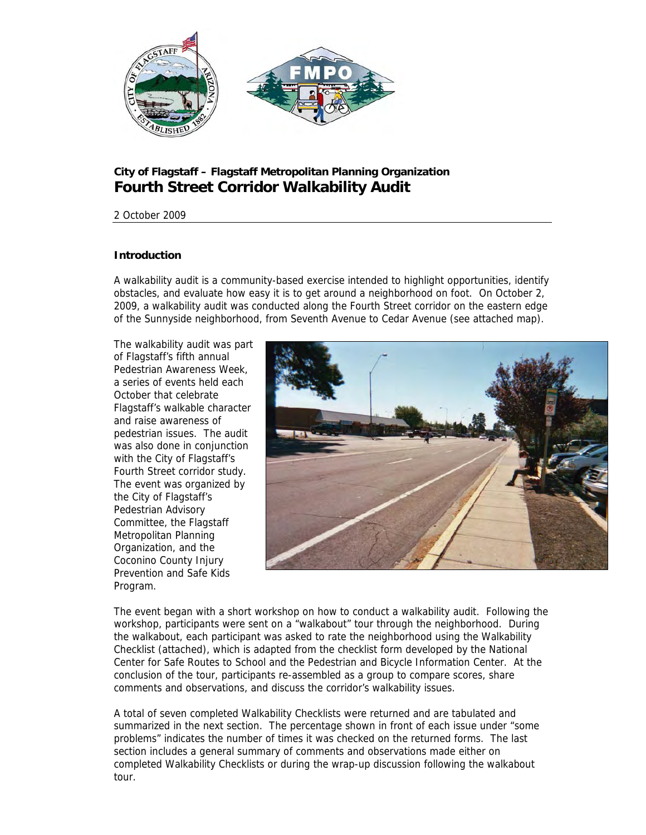

# **City of Flagstaff – Flagstaff Metropolitan Planning Organization Fourth Street Corridor Walkability Audit**

# 2 October 2009

# **Introduction**

A walkability audit is a community-based exercise intended to highlight opportunities, identify obstacles, and evaluate how easy it is to get around a neighborhood on foot. On October 2, 2009, a walkability audit was conducted along the Fourth Street corridor on the eastern edge of the Sunnyside neighborhood, from Seventh Avenue to Cedar Avenue (see attached map).

The walkability audit was part of Flagstaff's fifth annual Pedestrian Awareness Week, a series of events held each October that celebrate Flagstaff's walkable character and raise awareness of pedestrian issues. The audit was also done in conjunction with the City of Flagstaff's Fourth Street corridor study. The event was organized by the City of Flagstaff's Pedestrian Advisory Committee, the Flagstaff Metropolitan Planning Organization, and the Coconino County Injury Prevention and Safe Kids Program.



The event began with a short workshop on how to conduct a walkability audit. Following the workshop, participants were sent on a "walkabout" tour through the neighborhood. During the walkabout, each participant was asked to rate the neighborhood using the Walkability Checklist (attached), which is adapted from the checklist form developed by the National Center for Safe Routes to School and the Pedestrian and Bicycle Information Center. At the conclusion of the tour, participants re-assembled as a group to compare scores, share comments and observations, and discuss the corridor's walkability issues.

A total of seven completed Walkability Checklists were returned and are tabulated and summarized in the next section. The percentage shown in front of each issue under "some problems" indicates the number of times it was checked on the returned forms. The last section includes a general summary of comments and observations made either on completed Walkability Checklists or during the wrap-up discussion following the walkabout tour.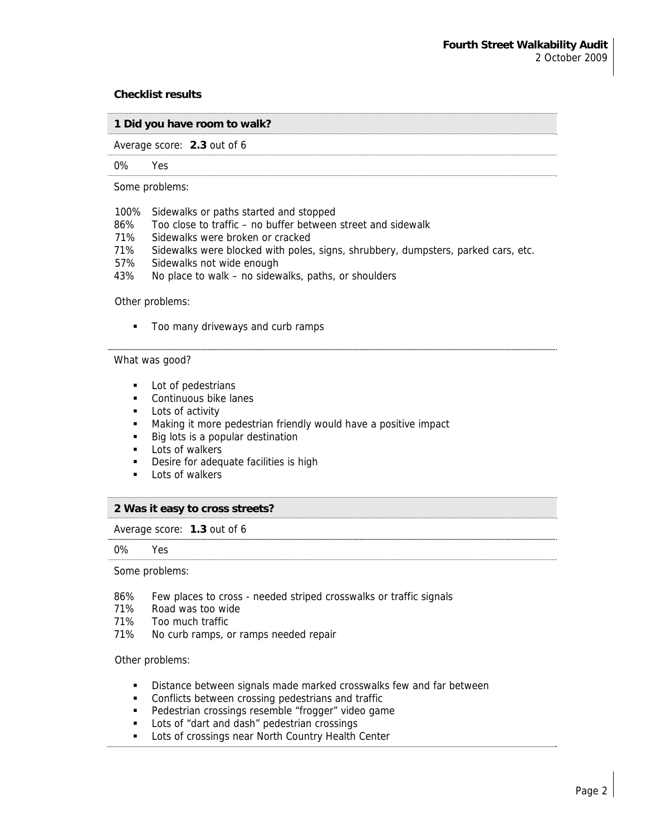#### **Checklist results**

## **1 Did you have room to walk?**

Average score: **2.3** out of 6

#### 0% Yes

Some problems:

- 100% Sidewalks or paths started and stopped
- 86% Too close to traffic no buffer between street and sidewalk
- 71% Sidewalks were broken or cracked
- 71% Sidewalks were blocked with poles, signs, shrubbery, dumpsters, parked cars, etc.
- 57% Sidewalks not wide enough
- 43% No place to walk no sidewalks, paths, or shoulders

## Other problems:

Too many driveways and curb ramps

# What was good?

- **Lot of pedestrians**
- **Continuous bike lanes**
- **Lots of activity**
- Making it more pedestrian friendly would have a positive impact
- Big lots is a popular destination
- $\blacksquare$  Lots of walkers
- **Desire for adequate facilities is high**
- **Lots of walkers**

### **2 Was it easy to cross streets?**

Average score: **1.3** out of 6

#### 0% Yes

#### Some problems:

- 86% Few places to cross needed striped crosswalks or traffic signals
- 71% Road was too wide
- 71% Too much traffic
- 71% No curb ramps, or ramps needed repair

#### Other problems:

- **Distance between signals made marked crosswalks few and far between**
- **Conflicts between crossing pedestrians and traffic**
- **Pedestrian crossings resemble "frogger" video game**
- **Lots of "dart and dash" pedestrian crossings**
- **-** Lots of crossings near North Country Health Center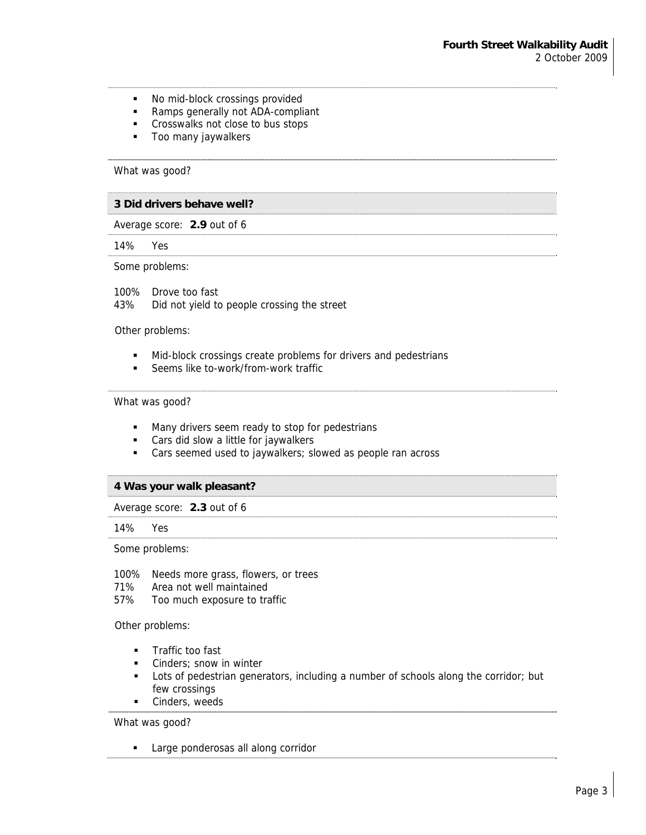- No mid-block crossings provided
- Ramps generally not ADA-compliant
- **Crosswalks not close to bus stops**
- **Too many jaywalkers**

# What was good?

#### **3 Did drivers behave well?**

Average score: **2.9** out of 6

14% Yes

#### Some problems:

100% Drove too fast 43% Did not yield to people crossing the street

Other problems:

- $\blacksquare$  Mid-block crossings create problems for drivers and pedestrians
- **Seems like to-work/from-work traffic**

#### What was good?

- **Many drivers seem ready to stop for pedestrians**
- **Cars did slow a little for jaywalkers**
- Cars seemed used to jaywalkers; slowed as people ran across

#### **4 Was your walk pleasant?**

Average score: **2.3** out of 6

#### 14% Yes

Some problems:

- 100% Needs more grass, flowers, or trees
- 71% Area not well maintained
- 57% Too much exposure to traffic

Other problems:

- **Traffic too fast**
- **Cinders; snow in winter**
- Lots of pedestrian generators, including a number of schools along the corridor; but few crossings
- **Cinders**, weeds

What was good?

**Large ponderosas all along corridor**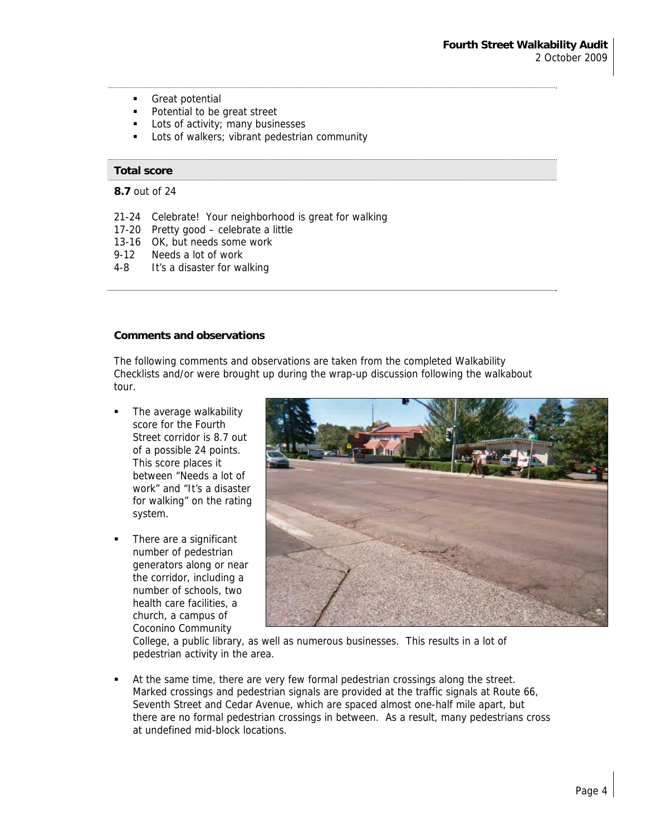- **Great potential**
- Potential to be great street
- **Lots of activity; many businesses**
- Lots of walkers; vibrant pedestrian community

#### **Total score**

**8.7** out of 24

- 21-24 Celebrate! Your neighborhood is great for walking
- 17-20 Pretty good celebrate a little
- 13-16 OK, but needs some work
- 9-12 Needs a lot of work
- 4-8 It's a disaster for walking

#### **Comments and observations**

The following comments and observations are taken from the completed Walkability Checklists and/or were brought up during the wrap-up discussion following the walkabout tour.

- The average walkability score for the Fourth Street corridor is 8.7 out of a possible 24 points. This score places it between "Needs a lot of work" and "It's a disaster for walking" on the rating system.
- There are a significant number of pedestrian generators along or near the corridor, including a number of schools, two health care facilities, a church, a campus of Coconino Community



College, a public library, as well as numerous businesses. This results in a lot of pedestrian activity in the area.

 At the same time, there are very few formal pedestrian crossings along the street. Marked crossings and pedestrian signals are provided at the traffic signals at Route 66, Seventh Street and Cedar Avenue, which are spaced almost one-half mile apart, but there are no formal pedestrian crossings in between. As a result, many pedestrians cross at undefined mid-block locations.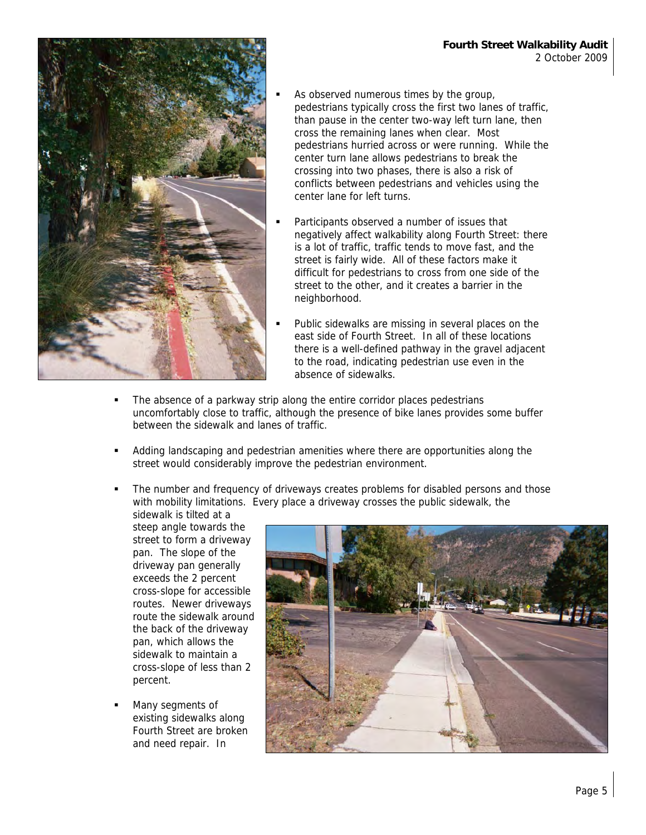

- As observed numerous times by the group, pedestrians typically cross the first two lanes of traffic, than pause in the center two-way left turn lane, then cross the remaining lanes when clear. Most pedestrians hurried across or were running. While the center turn lane allows pedestrians to break the crossing into two phases, there is also a risk of conflicts between pedestrians and vehicles using the center lane for left turns.
- Participants observed a number of issues that negatively affect walkability along Fourth Street: there is a lot of traffic, traffic tends to move fast, and the street is fairly wide. All of these factors make it difficult for pedestrians to cross from one side of the street to the other, and it creates a barrier in the neighborhood.
- Public sidewalks are missing in several places on the east side of Fourth Street. In all of these locations there is a well-defined pathway in the gravel adjacent to the road, indicating pedestrian use even in the absence of sidewalks.
- The absence of a parkway strip along the entire corridor places pedestrians uncomfortably close to traffic, although the presence of bike lanes provides some buffer between the sidewalk and lanes of traffic.
- Adding landscaping and pedestrian amenities where there are opportunities along the street would considerably improve the pedestrian environment.
- The number and frequency of driveways creates problems for disabled persons and those with mobility limitations. Every place a driveway crosses the public sidewalk, the sidewalk is tilted at a

steep angle towards the street to form a driveway pan. The slope of the driveway pan generally exceeds the 2 percent cross-slope for accessible routes. Newer driveways route the sidewalk around the back of the driveway pan, which allows the sidewalk to maintain a cross-slope of less than 2 percent.

 Many segments of existing sidewalks along Fourth Street are broken and need repair. In

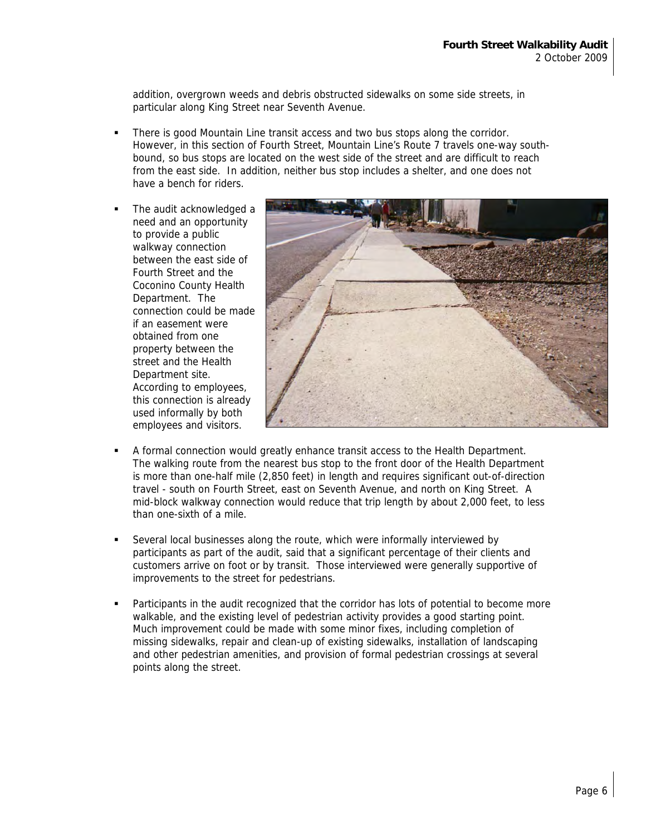addition, overgrown weeds and debris obstructed sidewalks on some side streets, in particular along King Street near Seventh Avenue.

- There is good Mountain Line transit access and two bus stops along the corridor. However, in this section of Fourth Street, Mountain Line's Route 7 travels one-way southbound, so bus stops are located on the west side of the street and are difficult to reach from the east side. In addition, neither bus stop includes a shelter, and one does not have a bench for riders.
- The audit acknowledged a need and an opportunity to provide a public walkway connection between the east side of Fourth Street and the Coconino County Health Department. The connection could be made if an easement were obtained from one property between the street and the Health Department site. According to employees, this connection is already used informally by both employees and visitors.



- A formal connection would greatly enhance transit access to the Health Department. The walking route from the nearest bus stop to the front door of the Health Department is more than one-half mile (2,850 feet) in length and requires significant out-of-direction travel - south on Fourth Street, east on Seventh Avenue, and north on King Street. A mid-block walkway connection would reduce that trip length by about 2,000 feet, to less than one-sixth of a mile.
- Several local businesses along the route, which were informally interviewed by participants as part of the audit, said that a significant percentage of their clients and customers arrive on foot or by transit. Those interviewed were generally supportive of improvements to the street for pedestrians.
- Participants in the audit recognized that the corridor has lots of potential to become more walkable, and the existing level of pedestrian activity provides a good starting point. Much improvement could be made with some minor fixes, including completion of missing sidewalks, repair and clean-up of existing sidewalks, installation of landscaping and other pedestrian amenities, and provision of formal pedestrian crossings at several points along the street.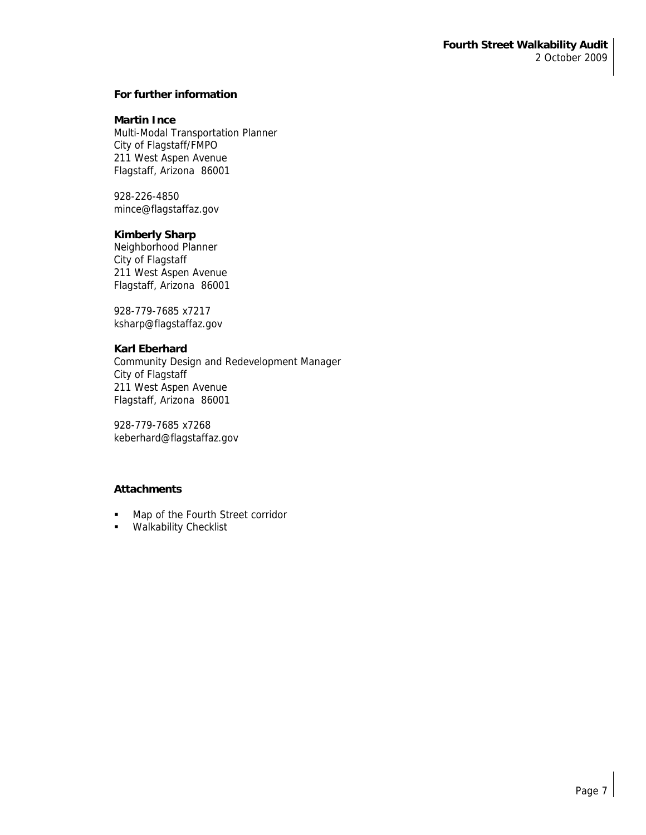## **For further information**

### **Martin Ince**

Multi-Modal Transportation Planner City of Flagstaff/FMPO 211 West Aspen Avenue Flagstaff, Arizona 86001

928-226-4850 mince@flagstaffaz.gov

## **Kimberly Sharp**

Neighborhood Planner City of Flagstaff 211 West Aspen Avenue Flagstaff, Arizona 86001

928-779-7685 x7217 ksharp@flagstaffaz.gov

# **Karl Eberhard**

Community Design and Redevelopment Manager City of Flagstaff 211 West Aspen Avenue Flagstaff, Arizona 86001

928-779-7685 x7268 keberhard@flagstaffaz.gov

# **Attachments**

- **Map of the Fourth Street corridor**
- **Walkability Checklist**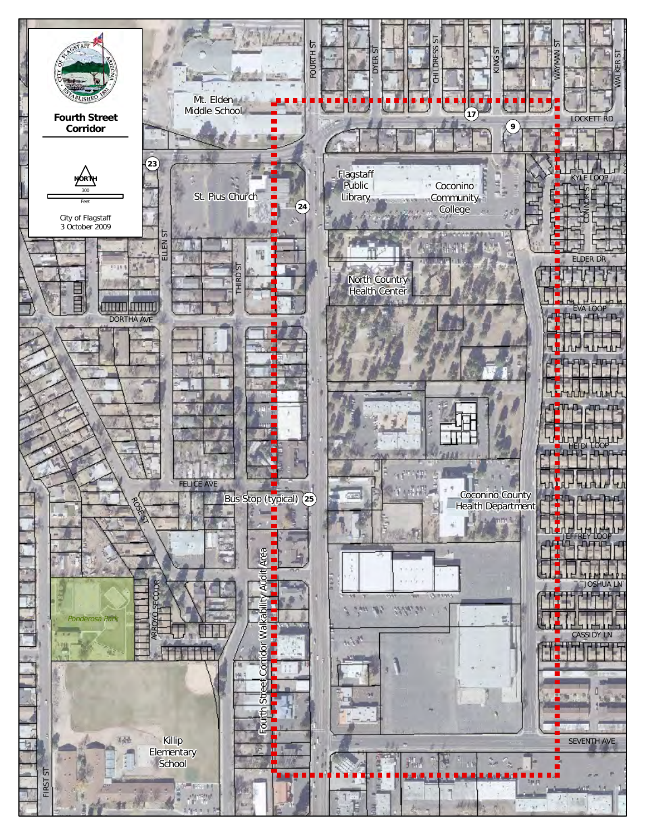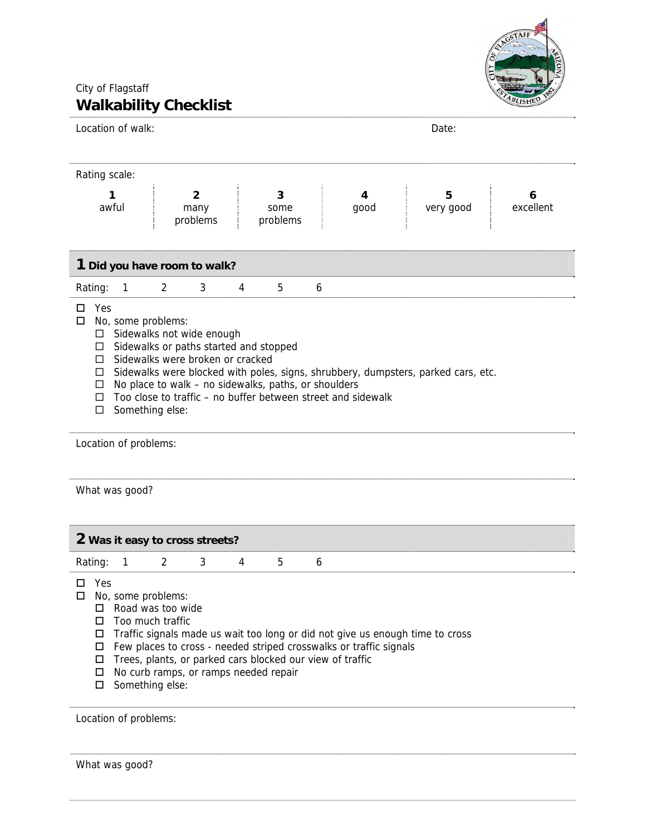

# City of Flagstaff **Walkability Checklist**

| Location of walk:                                                                                                                                                                                                                                                                                                                                                                                                                                 |                                    |                       | Date:                                         |  |  |  |  |  |  |  |  |
|---------------------------------------------------------------------------------------------------------------------------------------------------------------------------------------------------------------------------------------------------------------------------------------------------------------------------------------------------------------------------------------------------------------------------------------------------|------------------------------------|-----------------------|-----------------------------------------------|--|--|--|--|--|--|--|--|
| Rating scale:                                                                                                                                                                                                                                                                                                                                                                                                                                     |                                    |                       |                                               |  |  |  |  |  |  |  |  |
| 1<br>awful                                                                                                                                                                                                                                                                                                                                                                                                                                        | $\overline{2}$<br>many<br>problems | 3<br>some<br>problems | 4<br>5<br>6<br>excellent<br>good<br>very good |  |  |  |  |  |  |  |  |
| 1 Did you have room to walk?                                                                                                                                                                                                                                                                                                                                                                                                                      |                                    |                       |                                               |  |  |  |  |  |  |  |  |
| Rating:<br>$\mathbf{1}$                                                                                                                                                                                                                                                                                                                                                                                                                           | 3<br>2                             | 4<br>5                | 6                                             |  |  |  |  |  |  |  |  |
| Yes<br>О.<br>No, some problems:<br>$\Box$<br>Sidewalks not wide enough<br>$\Box$<br>Sidewalks or paths started and stopped<br>□<br>Sidewalks were broken or cracked<br>$\Box$<br>Sidewalks were blocked with poles, signs, shrubbery, dumpsters, parked cars, etc.<br>□<br>No place to walk - no sidewalks, paths, or shoulders<br>□<br>Too close to traffic – no buffer between street and sidewalk<br>□<br>Something else:<br>□                 |                                    |                       |                                               |  |  |  |  |  |  |  |  |
| Location of problems:                                                                                                                                                                                                                                                                                                                                                                                                                             |                                    |                       |                                               |  |  |  |  |  |  |  |  |
| What was good?                                                                                                                                                                                                                                                                                                                                                                                                                                    |                                    |                       |                                               |  |  |  |  |  |  |  |  |
| 2 Was it easy to cross streets?                                                                                                                                                                                                                                                                                                                                                                                                                   |                                    |                       |                                               |  |  |  |  |  |  |  |  |
| Rating:<br>1                                                                                                                                                                                                                                                                                                                                                                                                                                      | 2<br>3                             | 4<br>5                | 6                                             |  |  |  |  |  |  |  |  |
| Yes<br>□<br>No, some problems:<br>□<br>Road was too wide<br>Too much traffic<br>$\Box$<br>Traffic signals made us wait too long or did not give us enough time to cross<br>$\Box$<br>Few places to cross - needed striped crosswalks or traffic signals<br>$\Box$<br>Trees, plants, or parked cars blocked our view of traffic<br>$\Box$<br>No curb ramps, or ramps needed repair<br>$\Box$<br>Something else:<br>$\Box$<br>Location of problems: |                                    |                       |                                               |  |  |  |  |  |  |  |  |

What was good?